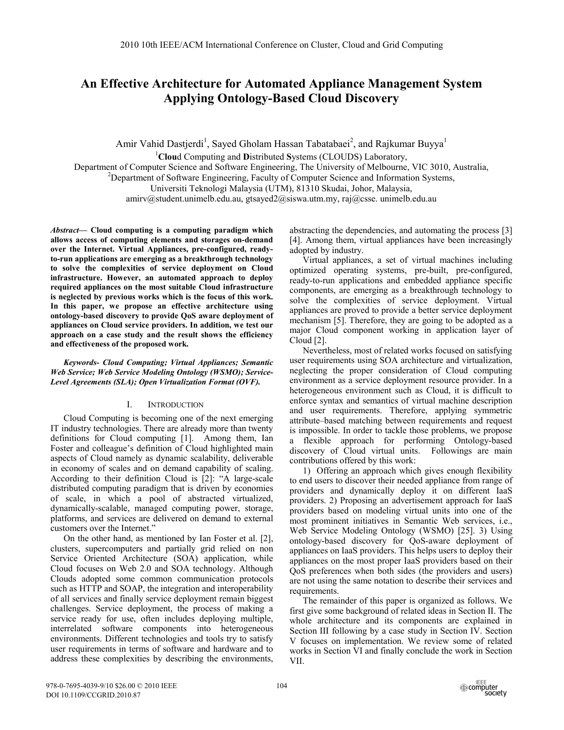# **An Effective Architecture for Automated Appliance Management System Applying Ontology-Based Cloud Discovery**

Amir Vahid Dastjerdi<sup>1</sup>, Sayed Gholam Hassan Tabatabaei<sup>2</sup>, and Rajkumar Buyya<sup>1</sup> **Clou**d Computing and **D**istributed **S**ystems (CLOUDS) Laboratory, Department of Computer Science and Software Engineering, The University of Melbourne, VIC 3010, Australia, 2  $P<sup>2</sup>$ Department of Software Engineering, Faculty of Computer Science and Information Systems, Universiti Teknologi Malaysia (UTM), 81310 Skudai, Johor, Malaysia, amirv@student.unimelb.edu.au, gtsayed2@siswa.utm.my, raj@csse. unimelb.edu.au

*Abstract***— Cloud computing is a computing paradigm which allows access of computing elements and storages on-demand over the Internet. Virtual Appliances, pre-configured, readyto-run applications are emerging as a breakthrough technology to solve the complexities of service deployment on Cloud infrastructure. However, an automated approach to deploy required appliances on the most suitable Cloud infrastructure is neglected by previous works which is the focus of this work. In this paper, we propose an effective architecture using ontology-based discovery to provide QoS aware deployment of appliances on Cloud service providers. In addition, we test our approach on a case study and the result shows the efficiency and effectiveness of the proposed work.** 

*Keywords- Cloud Computing; Virtual Appliances; Semantic Web Service; Web Service Modeling Ontology (WSMO); Service-Level Agreements (SLA); Open Virtualization Format (OVF).* 

### I. INTRODUCTION

Cloud Computing is becoming one of the next emerging IT industry technologies. There are already more than twenty definitions for Cloud computing [1]. Among them, Ian Foster and colleague's definition of Cloud highlighted main aspects of Cloud namely as dynamic scalability, deliverable in economy of scales and on demand capability of scaling. According to their definition Cloud is [2]: "A large-scale distributed computing paradigm that is driven by economies of scale, in which a pool of abstracted virtualized, dynamically-scalable, managed computing power, storage, platforms, and services are delivered on demand to external customers over the Internet."

On the other hand, as mentioned by Ian Foster et al. [2], clusters, supercomputers and partially grid relied on non Service Oriented Architecture (SOA) application, while Cloud focuses on Web 2.0 and SOA technology. Although Clouds adopted some common communication protocols such as HTTP and SOAP, the integration and interoperability of all services and finally service deployment remain biggest challenges. Service deployment, the process of making a service ready for use, often includes deploying multiple, interrelated software components into heterogeneous environments. Different technologies and tools try to satisfy user requirements in terms of software and hardware and to address these complexities by describing the environments, abstracting the dependencies, and automating the process [3] [4]. Among them, virtual appliances have been increasingly adopted by industry.

Virtual appliances, a set of virtual machines including optimized operating systems, pre-built, pre-configured, ready-to-run applications and embedded appliance specific components, are emerging as a breakthrough technology to solve the complexities of service deployment. Virtual appliances are proved to provide a better service deployment mechanism [5]. Therefore, they are going to be adopted as a major Cloud component working in application layer of Cloud [2].

Nevertheless, most of related works focused on satisfying user requirements using SOA architecture and virtualization, neglecting the proper consideration of Cloud computing environment as a service deployment resource provider. In a heterogeneous environment such as Cloud, it is difficult to enforce syntax and semantics of virtual machine description and user requirements. Therefore, applying symmetric attribute–based matching between requirements and request is impossible. In order to tackle those problems, we propose a flexible approach for performing Ontology-based discovery of Cloud virtual units. Followings are main contributions offered by this work:

1) Offering an approach which gives enough flexibility to end users to discover their needed appliance from range of providers and dynamically deploy it on different IaaS providers. 2) Proposing an advertisement approach for IaaS providers based on modeling virtual units into one of the most prominent initiatives in Semantic Web services, i.e., Web Service Modeling Ontology (WSMO) [25]. 3) Using ontology-based discovery for QoS-aware deployment of appliances on IaaS providers. This helps users to deploy their appliances on the most proper IaaS providers based on their QoS preferences when both sides (the providers and users) are not using the same notation to describe their services and requirements.

The remainder of this paper is organized as follows. We first give some background of related ideas in Section II. The whole architecture and its components are explained in Section III following by a case study in Section IV. Section V focuses on implementation. We review some of related works in Section VI and finally conclude the work in Section VII.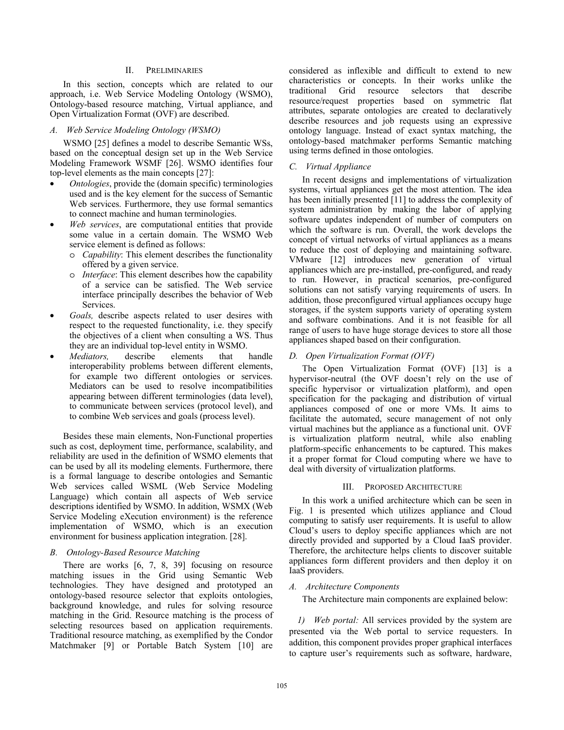### II. PRELIMINARIES

In this section, concepts which are related to our approach, i.e. Web Service Modeling Ontology (WSMO), Ontology-based resource matching, Virtual appliance, and Open Virtualization Format (OVF) are described.

### *A. Web Service Modeling Ontology (WSMO)*

WSMO [25] defines a model to describe Semantic WSs, based on the conceptual design set up in the Web Service Modeling Framework WSMF [26]. WSMO identifies four top-level elements as the main concepts [27]:

- *Ontologies*, provide the (domain specific) terminologies used and is the key element for the success of Semantic Web services. Furthermore, they use formal semantics to connect machine and human terminologies.
- Web services, are computational entities that provide some value in a certain domain. The WSMO Web service element is defined as follows:
	- o *Capability*: This element describes the functionality offered by a given service.
	- o *Interface*: This element describes how the capability of a service can be satisfied. The Web service interface principally describes the behavior of Web Services.
- *Goals,* describe aspects related to user desires with respect to the requested functionality, i.e. they specify the objectives of a client when consulting a WS. Thus they are an individual top-level entity in WSMO.
- *Mediators*, describe elements that handle interoperability problems between different elements, for example two different ontologies or services. Mediators can be used to resolve incompatibilities appearing between different terminologies (data level), to communicate between services (protocol level), and to combine Web services and goals (process level).

Besides these main elements, Non-Functional properties such as cost, deployment time, performance, scalability, and reliability are used in the definition of WSMO elements that can be used by all its modeling elements. Furthermore, there is a formal language to describe ontologies and Semantic Web services called WSML (Web Service Modeling Language) which contain all aspects of Web service descriptions identified by WSMO. In addition, WSMX (Web Service Modeling eXecution environment) is the reference implementation of WSMO, which is an execution environment for business application integration. [28].

### *B. Ontology-Based Resource Matching*

There are works [6, 7, 8, 39] focusing on resource matching issues in the Grid using Semantic Web technologies. They have designed and prototyped an ontology-based resource selector that exploits ontologies, background knowledge, and rules for solving resource matching in the Grid. Resource matching is the process of selecting resources based on application requirements. Traditional resource matching, as exemplified by the Condor Matchmaker [9] or Portable Batch System [10] are considered as inflexible and difficult to extend to new characteristics or concepts. In their works unlike the traditional Grid resource selectors that describe resource/request properties based on symmetric flat attributes, separate ontologies are created to declaratively describe resources and job requests using an expressive ontology language. Instead of exact syntax matching, the ontology-based matchmaker performs Semantic matching using terms defined in those ontologies.

### *C. Virtual Appliance*

In recent designs and implementations of virtualization systems, virtual appliances get the most attention. The idea has been initially presented [11] to address the complexity of system administration by making the labor of applying software updates independent of number of computers on which the software is run. Overall, the work develops the concept of virtual networks of virtual appliances as a means to reduce the cost of deploying and maintaining software. VMware [12] introduces new generation of virtual appliances which are pre-installed, pre-configured, and ready to run. However, in practical scenarios, pre-configured solutions can not satisfy varying requirements of users. In addition, those preconfigured virtual appliances occupy huge storages, if the system supports variety of operating system and software combinations. And it is not feasible for all range of users to have huge storage devices to store all those appliances shaped based on their configuration.

### *D. Open Virtualization Format (OVF)*

The Open Virtualization Format (OVF) [13] is a hypervisor-neutral (the OVF doesn't rely on the use of specific hypervisor or virtualization platform), and open specification for the packaging and distribution of virtual appliances composed of one or more VMs. It aims to facilitate the automated, secure management of not only virtual machines but the appliance as a functional unit. OVF is virtualization platform neutral, while also enabling platform-specific enhancements to be captured. This makes it a proper format for Cloud computing where we have to deal with diversity of virtualization platforms.

### III. PROPOSED ARCHITECTURE

In this work a unified architecture which can be seen in Fig. 1 is presented which utilizes appliance and Cloud computing to satisfy user requirements. It is useful to allow Cloud's users to deploy specific appliances which are not directly provided and supported by a Cloud IaaS provider. Therefore, the architecture helps clients to discover suitable appliances form different providers and then deploy it on IaaS providers.

### *A. Architecture Components*

The Architecture main components are explained below:

*1) Web portal:* All services provided by the system are presented via the Web portal to service requesters. In addition, this component provides proper graphical interfaces to capture user's requirements such as software, hardware,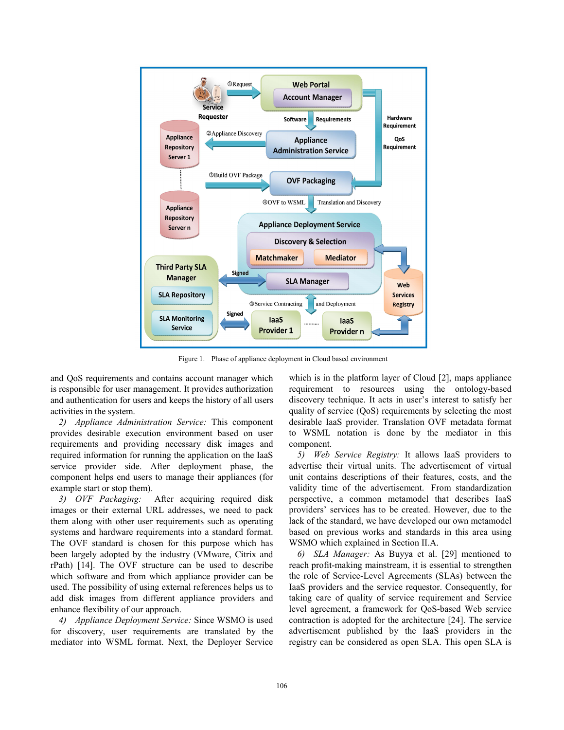

Figure 1. Phase of appliance deployment in Cloud based environment

and QoS requirements and contains account manager which is responsible for user management. It provides authorization and authentication for users and keeps the history of all users activities in the system.

*2) Appliance Administration Service:* This component provides desirable execution environment based on user requirements and providing necessary disk images and required information for running the application on the IaaS service provider side. After deployment phase, the component helps end users to manage their appliances (for example start or stop them).

*3) OVF Packaging:* After acquiring required disk images or their external URL addresses, we need to pack them along with other user requirements such as operating systems and hardware requirements into a standard format. The OVF standard is chosen for this purpose which has been largely adopted by the industry (VMware, Citrix and rPath) [14]. The OVF structure can be used to describe which software and from which appliance provider can be used. The possibility of using external references helps us to add disk images from different appliance providers and enhance flexibility of our approach.

*4) Appliance Deployment Service:* Since WSMO is used for discovery, user requirements are translated by the mediator into WSML format. Next, the Deployer Service

which is in the platform layer of Cloud [2], maps appliance requirement to resources using the ontology-based discovery technique. It acts in user's interest to satisfy her quality of service (QoS) requirements by selecting the most desirable IaaS provider. Translation OVF metadata format to WSML notation is done by the mediator in this component.

*5) Web Service Registry:* It allows IaaS providers to advertise their virtual units. The advertisement of virtual unit contains descriptions of their features, costs, and the validity time of the advertisement. From standardization perspective, a common metamodel that describes IaaS providers' services has to be created. However, due to the lack of the standard, we have developed our own metamodel based on previous works and standards in this area using WSMO which explained in Section II.A.

*6) SLA Manager:* As Buyya et al. [29] mentioned to reach profit-making mainstream, it is essential to strengthen the role of Service-Level Agreements (SLAs) between the IaaS providers and the service requestor. Consequently, for taking care of quality of service requirement and Service level agreement, a framework for QoS-based Web service contraction is adopted for the architecture [24]. The service advertisement published by the IaaS providers in the registry can be considered as open SLA. This open SLA is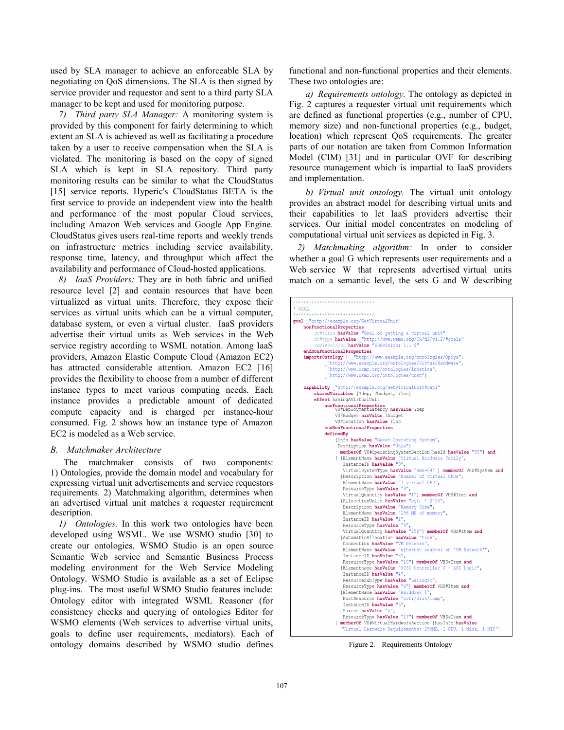used by SLA manager to achieve an enforceable SLA by negotiating on QoS dimensions. The SLA is then signed by service provider and requestor and sent to a third party SLA manager to be kept and used for monitoring purpose.

*7) Third party SLA Manager:* A monitoring system is provided by this component for fairly determining to which extent an SLA is achieved as well as facilitating a procedure taken by a user to receive compensation when the SLA is violated. The monitoring is based on the copy of signed SLA which is kept in SLA repository. Third party monitoring results can be similar to what the CloudStatus [15] service reports. Hyperic's CloudStatus BETA is the first service to provide an independent view into the health and performance of the most popular Cloud services, including Amazon Web services and Google App Engine. CloudStatus gives users real-time reports and weekly trends on infrastructure metrics including service availability, response time, latency, and throughput which affect the availability and performance of Cloud-hosted applications.

*8) IaaS Providers:* They are in both fabric and unified resource level [2] and contain resources that have been virtualized as virtual units. Therefore, they expose their services as virtual units which can be a virtual computer, database system, or even a virtual cluster. IaaS providers advertise their virtual units as Web services in the Web service registry according to WSML notation. Among IaaS providers, Amazon Elastic Compute Cloud (Amazon EC2) has attracted considerable attention. Amazon EC2 [16] provides the flexibility to choose from a number of different instance types to meet various computing needs. Each instance provides a predictable amount of dedicated compute capacity and is charged per instance-hour consumed. Fig. 2 shows how an instance type of Amazon EC2 is modeled as a Web service.

### *B. Matchmaker Architecture*

The matchmaker consists of two components: 1) Ontologies, provide the domain model and vocabulary for expressing virtual unit advertisements and service requestors requirements. 2) Matchmaking algorithm, determines when an advertised virtual unit matches a requester requirement description.

*1) Ontologies.* In this work two ontologies have been developed using WSML. We use WSMO studio [30] to create our ontologies. WSMO Studio is an open source Semantic Web service and Semantic Business Process modeling environment for the Web Service Modeling Ontology. WSMO Studio is available as a set of Eclipse plug-ins. The most useful WSMO Studio features include: Ontology editor with integrated WSML Reasoner (for consistency checks and querying of ontologies Editor for WSMO elements (Web services to advertise virtual units, goals to define user requirements, mediators). Each of ontology domains described by WSMO studio defines functional and non-functional properties and their elements. These two ontologies are:

*a) Requirements ontology.* The ontology as depicted in Fig. 2 captures a requester virtual unit requirements which are defined as functional properties (e.g., number of CPU, memory size) and non-functional properties (e.g., budget, location) which represent QoS requirements. The greater parts of our notation are taken from Common Information Model (CIM) [31] and in particular OVF for describing resource management which is impartial to IaaS providers and implementation.

*b) Virtual unit ontology.* The virtual unit ontology provides an abstract model for describing virtual units and their capabilities to let IaaS providers advertise their services. Our initial model concentrates on modeling of computational virtual unit services as depicted in Fig. 3.

*2) Matchmaking algorithm:* In order to consider whether a goal G which represents user requirements and a Web service W that represents advertised virtual units match on a semantic level, the sets G and W describing

| ******************************                                    |
|-------------------------------------------------------------------|
| GOAL                                                              |
| *****************************/                                    |
| bal "http://example.org/GetVirtualUnit"                           |
| nonFunctionalProperties                                           |
| de#title hasValue "Goal of getting a virtual unit"                |
| dc#type hasValue "http://www.wsmo.org/TR/d2/v1.2/#goals"          |
| wsml#version hasValue "\$Revision: 1.1 \$"                        |
| endNonFunctionalProperties                                        |
| importsOntology { "http://www.example.org/ontologies/OpSys",      |
| "http://www.example.org/ontologies/VirtualHardware",              |
| $\noindent \noindent ``http://www.wsmo.org/ontologies/location",$ |
| "http://www.wsmo.org/ontologies/cost"}                            |
|                                                                   |
| capability "http://example.org/GetVirtualUnit#cap1"               |
| sharedVariables (?dep, ?budget, ?loc}                             |
| effect havingAVirtualUnit                                         |
| nonFunctionalProperties                                           |
| vu#DeploymentLatency nasvalue raep                                |
| VU#Budget hasValue ?budget                                        |
| VU#Location hasValue ?loc                                         |
| endNonFunctionalProperties                                        |
| definedBy                                                         |
| [Info hasValue "Guest Operating System",                          |
| Description hasValue "Unix"]                                      |
| memberOf VU#OperatingSystemSection [hasId hasValue "99"] and      |
| [ [ElementName hasValue "Virtual Hardware Family",                |
| InstanceID hasValue "0".                                          |
| VirtualSystemType hasValue "vmx-04" ] memberOf VHS#System and     |
| [Description hasValue "Number of virtual CPUs",                   |
| ElementName hasValue "1 virtual CPU",                             |
| ResourceType hasValue "3",                                        |
| VirtualQuantity hasValue "1"] memberOf VHS#Item and               |
| [AllocationUnits hasValue "byte * 2^20",                          |
| Description hasValue "Memory Size",                               |
| ElementName hasValue "256 MB of memory",                          |
| InstanceID hasValue "2",                                          |
| ResourceType hasValue "4".                                        |
| VirtualQuantity hasValue "256"] memberOf VHS#Item and             |
| [AutomaticAllocation hasValue "true",                             |
| Connection hasValue "VM Network",                                 |
| ElementName hasValue "ethernet adapter on 'VM Network'",          |
| InstanceID hasValue "3",                                          |
| ResourceType hasValue "10"] memberOf VHS#Item and                 |
| [Elementname hasValue "SCSI Controller 0 - LSI Logic",            |
| InstanceID hasValue "4",                                          |
| ResourceSubType hasValue "LsiLogic",                              |
| ResourceType hasValue "6"] memberOf VHS#Item and                  |
| [ElementName hasValue "Harddisk 1",                               |
| HostResource hasValue "ovf:/disk/lamp",                           |
| InstanceID hasValue "5",                                          |
| Parent hasValue "4",                                              |
| ResourceType hasValue "17"] memberOf VHS#Item and                 |
| ] memberOf VU#VirtualHardwareSection [hasInfo hasValue            |
| "Virtual Hardware Requirements: 256MB, 1 CPU, 1 disk, 1 NIC"]     |

Figure 2. Requirements Ontology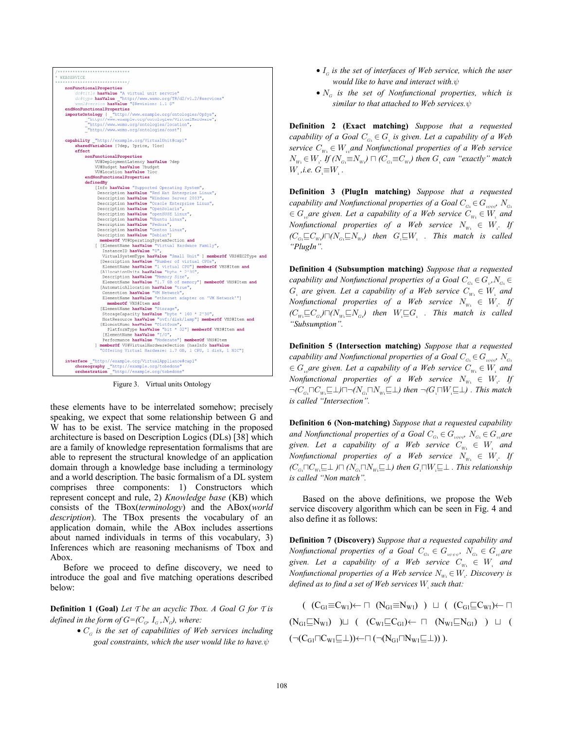

Figure 3. Virtual units Ontology

these elements have to be interrelated somehow; precisely speaking, we expect that some relationship between G and W has to be exist. The service matching in the proposed architecture is based on Description Logics (DLs) [38] which are a family of knowledge representation formalisms that are able to represent the structural knowledge of an application domain through a knowledge base including a terminology and a world description. The basic formalism of a DL system comprises three components: 1) Constructors which represent concept and rule, 2) *Knowledge base* (KB) which consists of the TBox(*terminology*) and the ABox(*world description*). The TBox presents the vocabulary of an application domain, while the ABox includes assertions about named individuals in terms of this vocabulary, 3) Inferences which are reasoning mechanisms of Tbox and Abox.

Before we proceed to define discovery, we need to introduce the goal and five matching operations described below:

**Definition 1 (Goal)** *Let T be an acyclic Tbox. A Goal* G *for T is defined in the form of*  $G = (C_{\alpha}, I_{\alpha}, N_{\alpha})$ *, where:* 

> $\bullet$   $C<sub>G</sub>$  is the set of capabilities of Web services including *goal constraints, which the user would like to have.*ψ

- $\bullet$   $I<sub>G</sub>$  is the set of interfaces of Web service, which the user *would like to have and interact with.*ψ
- $\bullet$   $N_a$  is the set of Nonfunctional properties, which is *similar to that attached to Web services.*ψ

**Definition 2 (Exact matching)** *Suppose that a requested*   $capability$  of a Goal  $C_{G_1} \in G_1$  is given. Let a capability of a Web *service*  $C_{w_1} \in W$  *and Nonfunctional properties of a Web service*  $N_{w_1}$  ∈  $W$ <sub>1</sub>. If  $(N_{G_1} \equiv N_{w_1})$   $\sqcap$   $(C_{G_1} \equiv C_{w_1})$  then  $G$ <sub>1</sub> can "exactly" match  $W_{\!\scriptscriptstyle 1}$ *,i.e.*  $G_{\!\scriptscriptstyle 1} {\equiv} W_{\!\scriptscriptstyle 1}$ .

**Definition 3 (PlugIn matching)** *Suppose that a requested capability and Nonfunctional properties of a Goal*  $C_{G_1} \in G_{1/1000}$ ,  $N_{G_1}$  $\in G_{\mu\varphi}$ are given. Let a capability of a Web service  $C_{w_1} \in W_1$  and *Nonfunctional properties of a Web service*  $N_{w_1} \in W_1$ . If  $(C_{G_1} \subseteq C_{W_1}) \sqcap (N_{G_1} \sqsubseteq N_{W_1})$  then  $G_1 \sqsubseteq W_1$  . This match is called *"PlugIn".* 

**Definition 4 (Subsumption matching)** *Suppose that a requested capability and Nonfunctional properties of a Goal*  $C_{\alpha} \in G_{\alpha}N_{\alpha} \in$  $G_i$  are given. Let a capability of a Web service  $C_{w_1} \in W_i$  and *Nonfunctional properties of a Web service*  $N_{w_1} \in W_1$ . If  $(C_{w_1} \subseteq C_{\alpha} ) \sqcap (N_{w_1} \sqsubseteq N_{\alpha} )$  then  $W \sqsubseteq G_1$  . This match is called *"Subsumption".* 

**Definition 5 (Intersection matching)** *Suppose that a requested capability and Nonfunctional properties of a Goal*  $C_{G_1} \in G_{1/1000}$ ,  $N_{G_1}$  $\in G_{\mu\varphi}$ are given. Let a capability of a Web service  $C_{w_1} \in W_{\mu\nu}$  and *Nonfunctional properties of a Web service*  $N_{w_1} \in W$ . If  $\neg(C_{G_1} \sqcap C_{W_1} \sqsubseteq \bot) \sqcap \neg(N_{G_1} \sqcap N_{W_1} \sqsubseteq \bot)$  then  $\neg(G_1 \sqcap W_1 \sqsubseteq \bot)$ . This match *is called "Intersection".* 

**Definition 6 (Non-matching)** *Suppose that a requested capability and Nonfunctional properties of a Goal*  $C_{G_1} \in G_{\mu\nu\rho\sigma}$ ,  $N_{G_1} \in G_{\mu\nu}$  are given. Let a capability of a Web service  $C_{w_1} \in W_1$  and *Nonfunctional properties of a Web service*  $N_{w_1} \in W$ . If  $(C_{G_1} \Box C_{W_1} \Box \bot) \Box (N_{G_1} \Box N_{W_1} \Box \bot)$  then  $G_1 \Box W_1 \Box \bot$ . This relationship *is called "Non match".*

Based on the above definitions, we propose the Web service discovery algorithm which can be seen in Fig. 4 and also define it as follows:

**Definition 7 (Discovery)** *Suppose that a requested capability and Nonfunctional properties of a Goal*  $C_{G_1} \in G_{\text{sub}(g)}$ ,  $N_{G_1} \in G_{\text{sub}}$  *are* given. Let a capability of a Web service  $C_{w_1} \in W_1$  and *Nonfunctional properties of a Web service*  $N_{w_1} \in W_1$ . Discovery is *defined as to find a set of Web services* Wi  *such that:* 

 $(C_{\text{G1}} \equiv C_{\text{W1}}) \leftarrow \Box (N_{\text{G1}} \equiv N_{\text{W1}})$  )  $\Box (C_{\text{G1}} \sqsubseteq C_{\text{W1}}) \leftarrow \Box$  $(N_{GI} \subseteq N_{W1})$  ) $\sqcup$  (  $(C_{W1} \subseteq C_{GI}) \leftarrow \sqcap (N_{W1} \subseteq N_{GI})$  )  $\sqcup$  (  $(\neg(C_{GI} \sqcap C_{W1} \sqsubseteq \bot)) \leftarrow \sqcap (\neg(N_{GI} \sqcap N_{W1} \sqsubseteq \bot))$ ).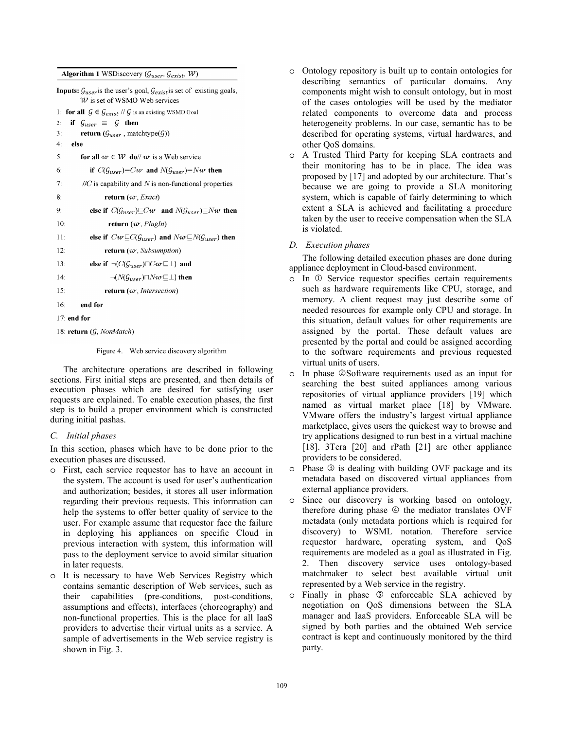Algorithm 1 WSDiscovery  $(\mathcal{G}_{user}, \mathcal{G}_{exist}, \mathcal{W})$ 

| <b>Inputs:</b> $G_{user}$ is the user's goal, $G_{exist}$ is set of existing goals.               |
|---------------------------------------------------------------------------------------------------|
| $W$ is set of WSMO Web services                                                                   |
| 1: <b>for all</b> $\mathcal{G} \in \mathcal{G}_{exist}$ // $\mathcal{G}$ is an existing WSMO Goal |
|                                                                                                   |

- $2:$ if  $G_{user} \equiv G$  then  $3:$ return ( $\mathcal{G}_{user}$ , matchtype( $\mathcal{G}$ ))
- $4:$ else
- $5:$ for all  $w \in W$  do// w is a Web service
- if  $C(G_{user}) \equiv C\omega$  and  $N(G_{user}) \equiv N\omega$  then  $6<sub>i</sub>$
- $7:$  $\textit{I/C}$  is capability and  $\textit{N}$  is non-functional properties
- $8:$ return  $(w, Exact)$
- $9<sub>1</sub>$ else if  $C(G_{user})\square C\omega$  and  $N(G_{user})\square N\omega$  then

```
10:return (w, PlugIn)
```
- $11<sup>1</sup>$ else if  $Cw \sqsubseteq C(\mathcal{G}_{user})$  and  $Nw \sqsubseteq N(\mathcal{G}_{user})$  then
- $12:$ return  $(w, Subsumption)$
- else if  $\neg(C(G_{user})\Box Cw \sqsubseteq \bot)$  and  $13<sup>1</sup>$
- $\neg(N(G_{user})\Box Nw \sqsubseteq \bot)$  then  $14<sup>·</sup>$
- $15<sup>°</sup>$ return  $(w, Intersection)$
- $16:$ end for
- 17: end for
- 18: return  $(G, \text{NonMatch})$

### Figure 4. Web service discovery algorithm

The architecture operations are described in following sections. First initial steps are presented, and then details of execution phases which are desired for satisfying user requests are explained. To enable execution phases, the first step is to build a proper environment which is constructed during initial pashas.

# *C. Initial phases*

In this section, phases which have to be done prior to the execution phases are discussed.

- o First, each service requestor has to have an account in the system. The account is used for user's authentication and authorization; besides, it stores all user information regarding their previous requests. This information can help the systems to offer better quality of service to the user. For example assume that requestor face the failure in deploying his appliances on specific Cloud in previous interaction with system, this information will pass to the deployment service to avoid similar situation in later requests.
- o It is necessary to have Web Services Registry which contains semantic description of Web services, such as their capabilities (pre-conditions, post-conditions, assumptions and effects), interfaces (choreography) and non-functional properties. This is the place for all IaaS providers to advertise their virtual units as a service. A sample of advertisements in the Web service registry is shown in Fig. 3.
- o Ontology repository is built up to contain ontologies for describing semantics of particular domains. Any components might wish to consult ontology, but in most of the cases ontologies will be used by the mediator related components to overcome data and process heterogeneity problems. In our case, semantic has to be described for operating systems, virtual hardwares, and other QoS domains.
- o A Trusted Third Party for keeping SLA contracts and their monitoring has to be in place. The idea was proposed by [17] and adopted by our architecture. That's because we are going to provide a SLA monitoring system, which is capable of fairly determining to which extent a SLA is achieved and facilitating a procedure taken by the user to receive compensation when the SLA is violated.

# *D. Execution phases*

The following detailed execution phases are done during appliance deployment in Cloud-based environment.

- o In  $\Phi$  Service requestor specifies certain requirements such as hardware requirements like CPU, storage, and memory. A client request may just describe some of needed resources for example only CPU and storage. In this situation, default values for other requirements are assigned by the portal. These default values are presented by the portal and could be assigned according to the software requirements and previous requested virtual units of users.
- o In phase ©Software requirements used as an input for searching the best suited appliances among various repositories of virtual appliance providers [19] which named as virtual market place [18] by VMware. VMware offers the industry's largest virtual appliance marketplace, gives users the quickest way to browse and try applications designed to run best in a virtual machine [18]. 3Tera [20] and rPath [21] are other appliance providers to be considered.
- $\circ$  Phase  $\circ$  is dealing with building OVF package and its metadata based on discovered virtual appliances from external appliance providers.
- o Since our discovery is working based on ontology, therefore during phase  $\Phi$  the mediator translates OVF metadata (only metadata portions which is required for discovery) to WSML notation. Therefore service requestor hardware, operating system, and QoS requirements are modeled as a goal as illustrated in Fig. 2. Then discovery service uses ontology-based matchmaker to select best available virtual unit represented by a Web service in the registry.
- o Finally in phase g enforceable SLA achieved by negotiation on QoS dimensions between the SLA manager and IaaS providers. Enforceable SLA will be signed by both parties and the obtained Web service contract is kept and continuously monitored by the third party.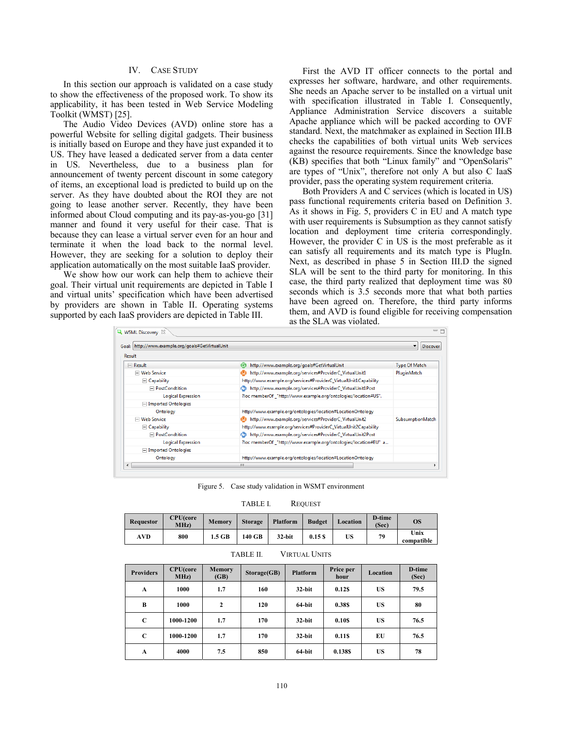### IV. CASE STUDY

In this section our approach is validated on a case study to show the effectiveness of the proposed work. To show its applicability, it has been tested in Web Service Modeling Toolkit (WMST) [25].

The Audio Video Devices (AVD) online store has a powerful Website for selling digital gadgets. Their business is initially based on Europe and they have just expanded it to US. They have leased a dedicated server from a data center in US. Nevertheless, due to a business plan for announcement of twenty percent discount in some category of items, an exceptional load is predicted to build up on the server. As they have doubted about the ROI they are not going to lease another server. Recently, they have been informed about Cloud computing and its pay-as-you-go [31] manner and found it very useful for their case. That is because they can lease a virtual server even for an hour and terminate it when the load back to the normal level. However, they are seeking for a solution to deploy their application automatically on the most suitable IaaS provider.

We show how our work can help them to achieve their goal. Their virtual unit requirements are depicted in Table I and virtual units' specification which have been advertised by providers are shown in Table II. Operating systems supported by each IaaS providers are depicted in Table III.

First the AVD IT officer connects to the portal and expresses her software, hardware, and other requirements. She needs an Apache server to be installed on a virtual unit with specification illustrated in Table I. Consequently, Appliance Administration Service discovers a suitable Apache appliance which will be packed according to OVF standard. Next, the matchmaker as explained in Section III.B checks the capabilities of both virtual units Web services against the resource requirements. Since the knowledge base (KB) specifies that both "Linux family" and "OpenSolaris" are types of "Unix", therefore not only A but also C IaaS provider, pass the operating system requirement criteria.

Both Providers A and C services (which is located in US) pass functional requirements criteria based on Definition 3. As it shows in Fig. 5, providers C in EU and A match type with user requirements is Subsumption as they cannot satisfy location and deployment time criteria correspondingly. However, the provider C in US is the most preferable as it can satisfy all requirements and its match type is PlugIn. Next, as described in phase 5 in Section III.D the signed SLA will be sent to the third party for monitoring. In this case, the third party realized that deployment time was 80 seconds which is 3.5 seconds more that what both parties have been agreed on. Therefore, the third party informs them, and AVD is found eligible for receiving compensation as the SLA was violated.

| Goal: http://www.example.org/goals#GetVirtualUnit |                                                                  | Discover             |
|---------------------------------------------------|------------------------------------------------------------------|----------------------|
| Result                                            |                                                                  |                      |
| $=$ Result                                        | http://www.example.org/goals#GetVirtualUnit<br>G                 | <b>Type Of Match</b> |
| $\Box$ Web Service                                | http://www.example.org/services#ProviderC_VirtualUnit1           | PluginMatch          |
| $\Box$ Capability                                 | http://www.example.org/services#ProviderC_VirtualUnit1Capability |                      |
| $\Box$ PostCondtition                             | http://www.example.org/services#ProviderC_VirtualUnit1Post       |                      |
| <b>Logical Expression</b>                         | ?loc memberOf _"http://www.example.org/ontologies/location#US".  |                      |
| $\Box$ Imported Ontologies                        |                                                                  |                      |
| Ontology                                          | http://www.example.org/ontologies/location#LocationOntology      |                      |
| $\Box$ Web Service                                | http://www.example.org/services#ProviderC_VirtualUnit2           | SubsumptionMatch     |
| $\Box$ Capability                                 | http://www.example.org/services#ProviderC_VirtualUnit2Capability |                      |
| $\Box$ PostCondtition                             | http://www.example.org/services#ProviderC VirtualUnit2Post       |                      |
| <b>Logical Expression</b>                         | ?loc memberOf _"http://www.example.org/ontologies/location#EU" a |                      |
| $\Box$ Imported Ontologies                        |                                                                  |                      |
| Ontology                                          | http://www.example.org/ontologies/location#LocationOntology      |                      |

Figure 5. Case study validation in WSMT environment

| TABLE L | <b>REQUEST</b> |
|---------|----------------|
|---------|----------------|

| <b>Requestor</b> | <b>CPU</b> (core<br>MHz) | <b>Memory</b> | <b>Storage</b> | <b>Platform</b> | <b>Budget</b> | Location | D-time<br>(Sec) | OS                 |
|------------------|--------------------------|---------------|----------------|-----------------|---------------|----------|-----------------|--------------------|
| AVD              | 800                      | 1.5 GB        | 140 GB         | 32-bit          | 0.15S         | US       | 79              | Unix<br>compatible |

| TABLE II. | <b>VIRTUAL UNITS</b> |  |
|-----------|----------------------|--|
|-----------|----------------------|--|

| <b>Providers</b> | <b>CPU</b> (core<br>MHz) | <b>Memory</b><br>(GB) | Storage(GB) | <b>Platform</b> | Price per<br>hour | Location  | D-time<br>(Sec) |
|------------------|--------------------------|-----------------------|-------------|-----------------|-------------------|-----------|-----------------|
| A                | 1000                     | 1.7                   | 160         | $32$ -bit       | 0.12\$            | US.       | 79.5            |
| B                | 1000                     | $\mathbf{2}$          | 120         | 64-bit          | 0.38\$            | <b>US</b> | 80              |
| C                | 1000-1200                | 1.7                   | 170         | $32$ -bit       | 0.10\$            | <b>US</b> | 76.5            |
| C                | 1000-1200                | 1.7                   | 170         | $32$ -bit       | 0.11\$            | EU        | 76.5            |
| A                | 4000                     | 7.5                   | 850         | 64-bit          | 0.138\$           | <b>US</b> | 78              |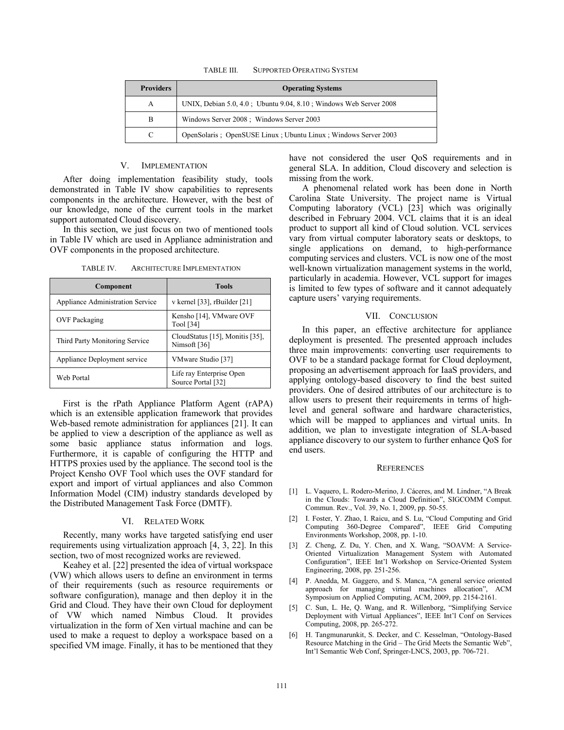TABLE III. SUPPORTED OPERATING SYSTEM

| <b>Providers</b> | <b>Operating Systems</b>                                          |
|------------------|-------------------------------------------------------------------|
| A                | UNIX, Debian 5.0, 4.0; Ubuntu 9.04, 8.10; Windows Web Server 2008 |
| B                | Windows Server 2008 : Windows Server 2003                         |
| C                | OpenSolaris; OpenSUSE Linux; Ubuntu Linux; Windows Server 2003    |

### V. IMPLEMENTATION

After doing implementation feasibility study, tools demonstrated in Table IV show capabilities to represents components in the architecture. However, with the best of our knowledge, none of the current tools in the market support automated Cloud discovery.

In this section, we just focus on two of mentioned tools in Table IV which are used in Appliance administration and OVF components in the proposed architecture.

| Tools                                           |
|-------------------------------------------------|
| v kernel [33], rBuilder [21]                    |
| Kensho [14], VMware OVF<br>Tool [34]            |
| CloudStatus [15], Monitis [35],<br>Nimsoft [36] |
| VMware Studio [37]                              |
| Life ray Enterprise Open<br>Source Portal [32]  |
|                                                 |

TABLE IV. ARCHITECTURE IMPLEMENTATION

First is the rPath Appliance Platform Agent (rAPA) which is an extensible application framework that provides Web-based remote administration for appliances [21]. It can be applied to view a description of the appliance as well as some basic appliance status information and logs. Furthermore, it is capable of configuring the HTTP and HTTPS proxies used by the appliance. The second tool is the Project Kensho OVF Tool which uses the OVF standard for export and import of virtual appliances and also Common Information Model (CIM) industry standards developed by the Distributed Management Task Force (DMTF).

#### VI. RELATED WORK

Recently, many works have targeted satisfying end user requirements using virtualization approach [4, 3, 22]. In this section, two of most recognized works are reviewed.

Keahey et al. [22] presented the idea of virtual workspace (VW) which allows users to define an environment in terms of their requirements (such as resource requirements or software configuration), manage and then deploy it in the Grid and Cloud. They have their own Cloud for deployment of VW which named Nimbus Cloud. It provides virtualization in the form of Xen virtual machine and can be used to make a request to deploy a workspace based on a specified VM image. Finally, it has to be mentioned that they have not considered the user QoS requirements and in general SLA. In addition, Cloud discovery and selection is missing from the work.

A phenomenal related work has been done in North Carolina State University. The project name is Virtual Computing laboratory (VCL) [23] which was originally described in February 2004. VCL claims that it is an ideal product to support all kind of Cloud solution. VCL services vary from virtual computer laboratory seats or desktops, to single applications on demand, to high-performance computing services and clusters. VCL is now one of the most well-known virtualization management systems in the world, particularly in academia. However, VCL support for images is limited to few types of software and it cannot adequately capture users' varying requirements.

#### VII. CONCLUSION

In this paper, an effective architecture for appliance deployment is presented. The presented approach includes three main improvements: converting user requirements to OVF to be a standard package format for Cloud deployment, proposing an advertisement approach for IaaS providers, and applying ontology-based discovery to find the best suited providers. One of desired attributes of our architecture is to allow users to present their requirements in terms of highlevel and general software and hardware characteristics, which will be mapped to appliances and virtual units. In addition, we plan to investigate integration of SLA-based appliance discovery to our system to further enhance QoS for end users.

#### **REFERENCES**

- [1] L. Vaquero, L. Rodero-Merino, J. Cáceres, and M. Lindner, "A Break in the Clouds: Towards a Cloud Definition", SIGCOMM Comput. Commun. Rev., Vol. 39, No. 1, 2009, pp. 50-55.
- [2] I. Foster, Y. Zhao, I. Raicu, and S. Lu, "Cloud Computing and Grid Computing 360-Degree Compared", IEEE Grid Computing Environments Workshop, 2008, pp. 1-10.
- [3] Z. Cheng, Z. Du, Y. Chen, and X. Wang, "SOAVM: A Service-Oriented Virtualization Management System with Automated Configuration", IEEE Int'l Workshop on Service-Oriented System Engineering, 2008, pp. 251-256.
- [4] P. Anedda, M. Gaggero, and S. Manca, "A general service oriented approach for managing virtual machines allocation", ACM Symposium on Applied Computing, ACM, 2009, pp. 2154-2161.
- [5] C. Sun, L. He, Q. Wang, and R. Willenborg, "Simplifying Service Deployment with Virtual Appliances", IEEE Int'l Conf on Services Computing, 2008, pp. 265-272.
- [6] H. Tangmunarunkit, S. Decker, and C. Kesselman, "Ontology-Based Resource Matching in the Grid – The Grid Meets the Semantic Web", Int'l Semantic Web Conf, Springer-LNCS, 2003, pp. 706-721.